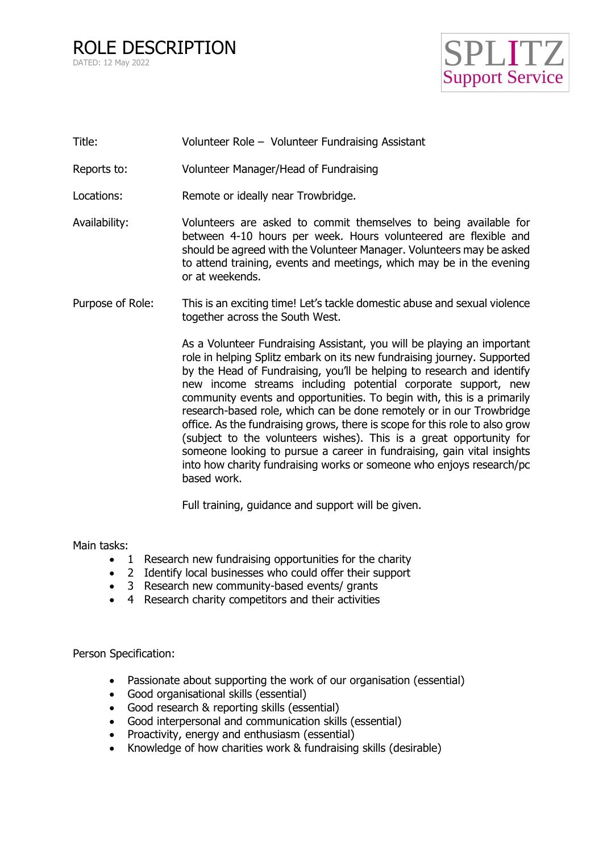ROLE DESCRIPTION DATED: 12 May 2022



- Title: Volunteer Role Volunteer Fundraising Assistant
- Reports to: Volunteer Manager/Head of Fundraising
- Locations: Remote or ideally near Trowbridge.
- Availability: Volunteers are asked to commit themselves to being available for between 4-10 hours per week. Hours volunteered are flexible and should be agreed with the Volunteer Manager. Volunteers may be asked to attend training, events and meetings, which may be in the evening or at weekends.
- Purpose of Role: This is an exciting time! Let's tackle domestic abuse and sexual violence together across the South West.

As a Volunteer Fundraising Assistant, you will be playing an important role in helping Splitz embark on its new fundraising journey. Supported by the Head of Fundraising, you'll be helping to research and identify new income streams including potential corporate support, new community events and opportunities. To begin with, this is a primarily research-based role, which can be done remotely or in our Trowbridge office. As the fundraising grows, there is scope for this role to also grow (subject to the volunteers wishes). This is a great opportunity for someone looking to pursue a career in fundraising, gain vital insights into how charity fundraising works or someone who enjoys research/pc based work.

Full training, guidance and support will be given.

Main tasks:

- 1 Research new fundraising opportunities for the charity
- 2 Identify local businesses who could offer their support
- 3 Research new community-based events/ grants
- 4 Research charity competitors and their activities

Person Specification:

- Passionate about supporting the work of our organisation (essential)
- Good organisational skills (essential)
- Good research & reporting skills (essential)
- Good interpersonal and communication skills (essential)
- Proactivity, energy and enthusiasm (essential)
- Knowledge of how charities work & fundraising skills (desirable)